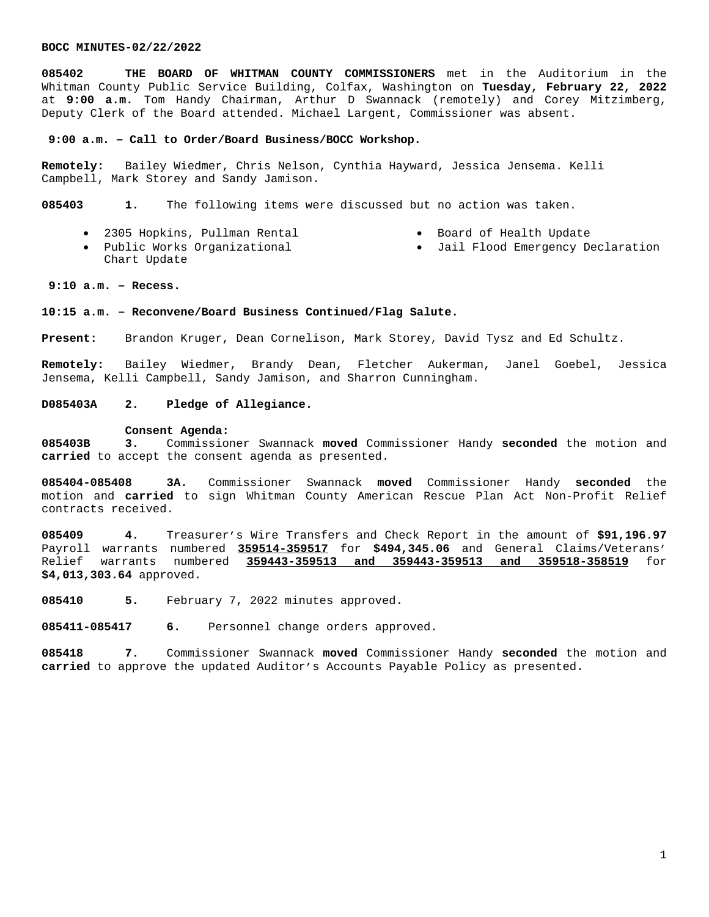**085402 THE BOARD OF WHITMAN COUNTY COMMISSIONERS** met in the Auditorium in the Whitman County Public Service Building, Colfax, Washington on **Tuesday, February 22, 2022** at **9:00 a.m.** Tom Handy Chairman, Arthur D Swannack (remotely) and Corey Mitzimberg, Deputy Clerk of the Board attended. Michael Largent, Commissioner was absent.

## **9:00 a.m. – Call to Order/Board Business/BOCC Workshop.**

**Remotely:** Bailey Wiedmer, Chris Nelson, Cynthia Hayward, Jessica Jensema. Kelli Campbell, Mark Storey and Sandy Jamison.

**085403 1.** The following items were discussed but no action was taken.

2305 Hopkins, Pullman Rental

- Board of Health Update
- Public Works Organizational Chart Update Jail Flood Emergency Declaration

# **9:10 a.m. – Recess.**

## **10:15 a.m. – Reconvene/Board Business Continued/Flag Salute.**

**Present:** Brandon Kruger, Dean Cornelison, Mark Storey, David Tysz and Ed Schultz.

**Remotely:** Bailey Wiedmer, Brandy Dean, Fletcher Aukerman, Janel Goebel, Jessica Jensema, Kelli Campbell, Sandy Jamison, and Sharron Cunningham.

# **D085403A 2. Pledge of Allegiance.**

#### **Consent Agenda:**

**085403B 3.** Commissioner Swannack **moved** Commissioner Handy **seconded** the motion and **carried** to accept the consent agenda as presented.

**085404-085408 3A.** Commissioner Swannack **moved** Commissioner Handy **seconded** the motion and **carried** to sign Whitman County American Rescue Plan Act Non-Profit Relief contracts received.

**085409 4.** Treasurer's Wire Transfers and Check Report in the amount of **\$91,196.97** Payroll warrants numbered **359514-359517** for **\$494,345.06** and General Claims/Veterans' Relief warrants numbered **359443-359513 and 359443-359513 and 359518-358519** for **\$4,013,303.64** approved.

**085410 5.** February 7, 2022 minutes approved.

**085411-085417 6.** Personnel change orders approved.

**085418 7.** Commissioner Swannack **moved** Commissioner Handy **seconded** the motion and **carried** to approve the updated Auditor's Accounts Payable Policy as presented.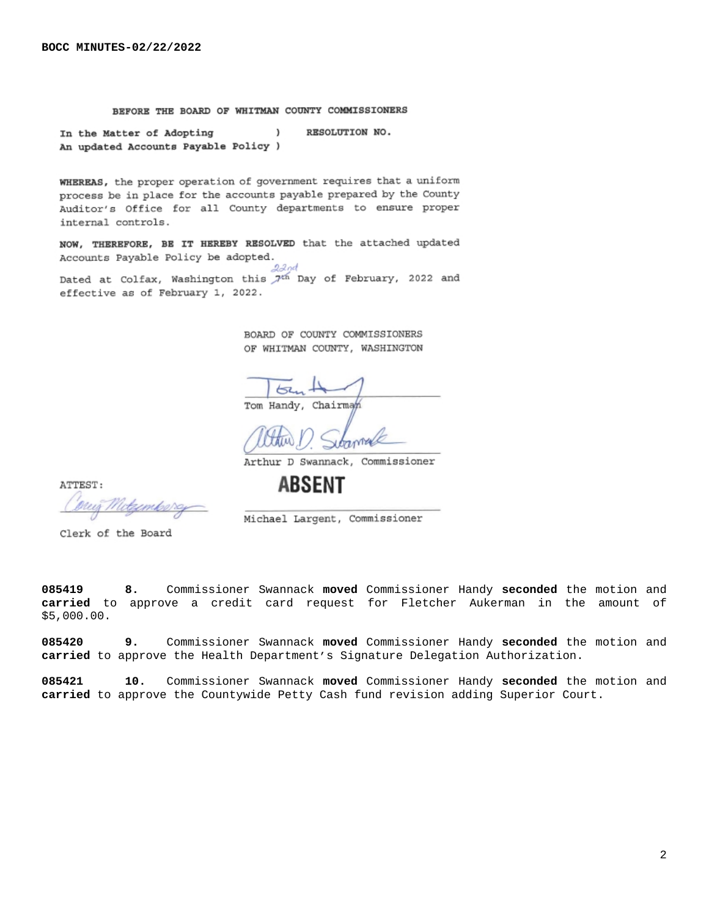# BEFORE THE BOARD OF WHITMAN COUNTY COMMISSIONERS

RESOLUTION NO. In the Matter of Adopting  $\rightarrow$ An updated Accounts Payable Policy )

WHEREAS, the proper operation of government requires that a uniform process be in place for the accounts payable prepared by the County Auditor's Office for all County departments to ensure proper internal controls.

NOW, THEREFORE, BE IT HEREBY RESOLVED that the attached updated Accounts Payable Policy be adopted.  $2$ and

Dated at Colfax, Washington this 7<sup>th</sup> Day of February, 2022 and effective as of February 1, 2022.

> BOARD OF COUNTY COMMISSIONERS OF WHITMAN COUNTY, WASHINGTON

لححا Tom Handy, Chairma

Arthur D Swannack, Commissioner

Michael Largent, Commissioner

**ABSENT** 

ATTEST:

preis

Clerk of the Board

**085419 8.** Commissioner Swannack **moved** Commissioner Handy **seconded** the motion and **carried** to approve a credit card request for Fletcher Aukerman in the amount of \$5,000.00.

**085420 9.** Commissioner Swannack **moved** Commissioner Handy **seconded** the motion and **carried** to approve the Health Department's Signature Delegation Authorization.

**085421 10.** Commissioner Swannack **moved** Commissioner Handy **seconded** the motion and **carried** to approve the Countywide Petty Cash fund revision adding Superior Court.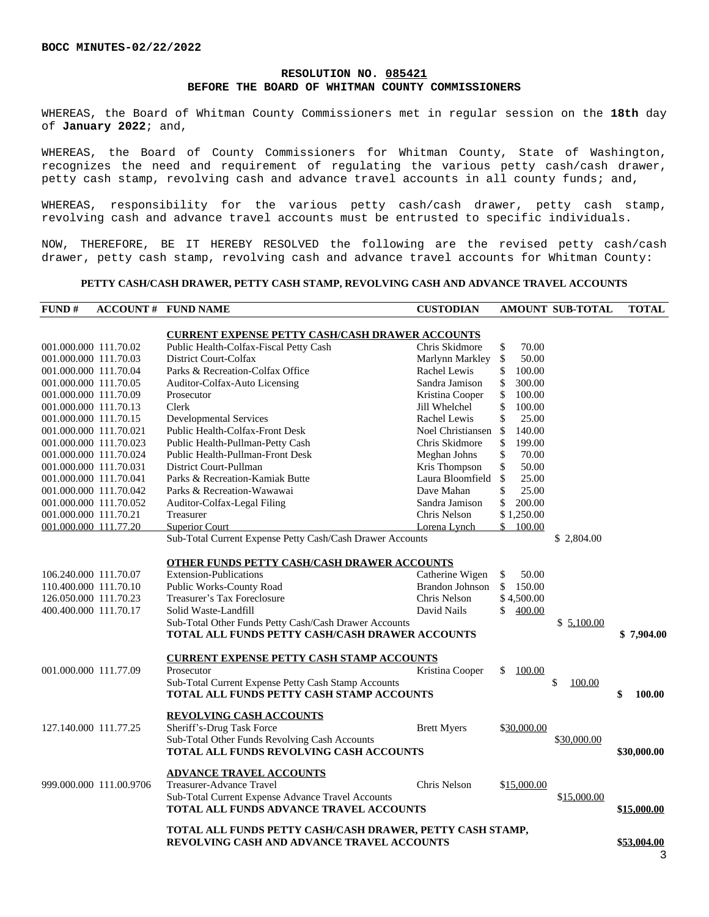# **RESOLUTION NO. 085421 BEFORE THE BOARD OF WHITMAN COUNTY COMMISSIONERS**

WHEREAS, the Board of Whitman County Commissioners met in regular session on the **18th** day of **January 2022**; and,

WHEREAS, the Board of County Commissioners for Whitman County, State of Washington, recognizes the need and requirement of regulating the various petty cash/cash drawer, petty cash stamp, revolving cash and advance travel accounts in all county funds; and,

WHEREAS, responsibility for the various petty cash/cash drawer, petty cash stamp, revolving cash and advance travel accounts must be entrusted to specific individuals.

NOW, THEREFORE, BE IT HEREBY RESOLVED the following are the revised petty cash/cash drawer, petty cash stamp, revolving cash and advance travel accounts for Whitman County:

## **PETTY CASH/CASH DRAWER, PETTY CASH STAMP, REVOLVING CASH AND ADVANCE TRAVEL ACCOUNTS**

| FUND#                  |                         | <b>ACCOUNT # FUND NAME</b>                                                                       | <b>CUSTODIAN</b>   |              | AMOUNT SUB-TOTAL | <b>TOTAL</b> |
|------------------------|-------------------------|--------------------------------------------------------------------------------------------------|--------------------|--------------|------------------|--------------|
|                        |                         |                                                                                                  |                    |              |                  |              |
| 001.000.000 111.70.02  |                         | <b>CURRENT EXPENSE PETTY CASH/CASH DRAWER ACCOUNTS</b><br>Public Health-Colfax-Fiscal Petty Cash | Chris Skidmore     | \$<br>70.00  |                  |              |
| 001.000.000 111.70.03  |                         | District Court-Colfax                                                                            | Marlynn Markley    | \$<br>50.00  |                  |              |
| 001.000.000 111.70.04  |                         | Parks & Recreation-Colfax Office                                                                 | Rachel Lewis       | \$<br>100.00 |                  |              |
| 001.000.000 111.70.05  |                         | Auditor-Colfax-Auto Licensing                                                                    | Sandra Jamison     | \$<br>300.00 |                  |              |
| 001.000.000 111.70.09  |                         | Prosecutor                                                                                       | Kristina Cooper    | \$<br>100.00 |                  |              |
| 001.000.000 111.70.13  |                         | Clerk                                                                                            | Jill Whelchel      | \$<br>100.00 |                  |              |
| 001.000.000 111.70.15  |                         | <b>Developmental Services</b>                                                                    | Rachel Lewis       | \$<br>25.00  |                  |              |
| 001.000.000 111.70.021 |                         | Public Health-Colfax-Front Desk                                                                  | Noel Christiansen  | \$<br>140.00 |                  |              |
| 001.000.000 111.70.023 |                         | Public Health-Pullman-Petty Cash                                                                 | Chris Skidmore     | \$<br>199.00 |                  |              |
| 001.000.000 111.70.024 |                         | Public Health-Pullman-Front Desk                                                                 | Meghan Johns       | \$<br>70.00  |                  |              |
| 001.000.000 111.70.031 |                         | District Court-Pullman                                                                           | Kris Thompson      | \$<br>50.00  |                  |              |
| 001.000.000 111.70.041 |                         | Parks & Recreation-Kamiak Butte                                                                  | Laura Bloomfield   | \$<br>25.00  |                  |              |
| 001.000.000 111.70.042 |                         | Parks & Recreation-Wawawai                                                                       | Dave Mahan         | \$<br>25.00  |                  |              |
| 001.000.000 111.70.052 |                         | Auditor-Colfax-Legal Filing                                                                      | Sandra Jamison     | \$<br>200.00 |                  |              |
| 001.000.000 111.70.21  |                         | Treasurer                                                                                        | Chris Nelson       | \$1,250.00   |                  |              |
| 001.000.000 111.77.20  |                         | <b>Superior Court</b>                                                                            | Lorena Lynch       | \$100.00     |                  |              |
|                        |                         | Sub-Total Current Expense Petty Cash/Cash Drawer Accounts                                        |                    |              | \$2,804.00       |              |
|                        |                         |                                                                                                  |                    |              |                  |              |
|                        |                         | <b>OTHER FUNDS PETTY CASH/CASH DRAWER ACCOUNTS</b>                                               |                    |              |                  |              |
| 106.240.000 111.70.07  |                         | <b>Extension-Publications</b>                                                                    | Catherine Wigen    | \$<br>50.00  |                  |              |
| 110.400.000 111.70.10  |                         | Public Works-County Road                                                                         | Brandon Johnson    | \$<br>150.00 |                  |              |
| 126.050.000 111.70.23  |                         | Treasurer's Tax Foreclosure                                                                      | Chris Nelson       | \$4,500.00   |                  |              |
| 400.400.000 111.70.17  |                         | Solid Waste-Landfill                                                                             | David Nails        | \$<br>400.00 |                  |              |
|                        |                         | Sub-Total Other Funds Petty Cash/Cash Drawer Accounts                                            |                    |              | \$5,100.00       |              |
|                        |                         | TOTAL ALL FUNDS PETTY CASH/CASH DRAWER ACCOUNTS                                                  |                    |              |                  | \$7,904.00   |
|                        |                         |                                                                                                  |                    |              |                  |              |
|                        |                         | <b>CURRENT EXPENSE PETTY CASH STAMP ACCOUNTS</b>                                                 |                    | \$           |                  |              |
| 001.000.000 111.77.09  |                         | Prosecutor                                                                                       | Kristina Cooper    | 100.00       |                  |              |
|                        |                         | Sub-Total Current Expense Petty Cash Stamp Accounts<br>TOTAL ALL FUNDS PETTY CASH STAMP ACCOUNTS |                    |              | \$<br>100.00     | \$<br>100.00 |
|                        |                         |                                                                                                  |                    |              |                  |              |
|                        |                         | <b>REVOLVING CASH ACCOUNTS</b>                                                                   |                    |              |                  |              |
| 127.140.000 111.77.25  |                         | Sheriff's-Drug Task Force                                                                        | <b>Brett Myers</b> | \$30,000.00  |                  |              |
|                        |                         | Sub-Total Other Funds Revolving Cash Accounts                                                    |                    |              | \$30,000.00      |              |
|                        |                         | TOTAL ALL FUNDS REVOLVING CASH ACCOUNTS                                                          |                    |              |                  | \$30,000.00  |
|                        |                         |                                                                                                  |                    |              |                  |              |
|                        |                         | <b>ADVANCE TRAVEL ACCOUNTS</b>                                                                   |                    |              |                  |              |
|                        | 999.000.000 111.00.9706 | Treasurer-Advance Travel                                                                         | Chris Nelson       | \$15,000.00  |                  |              |
|                        |                         | Sub-Total Current Expense Advance Travel Accounts                                                |                    |              | \$15,000.00      |              |
|                        |                         | TOTAL ALL FUNDS ADVANCE TRAVEL ACCOUNTS                                                          |                    |              |                  | \$15,000.00  |
|                        |                         | TOTAL ALL FUNDS PETTY CASH/CASH DRAWER, PETTY CASH STAMP,                                        |                    |              |                  |              |
|                        |                         | <b>REVOLVING CASH AND ADVANCE TRAVEL ACCOUNTS</b>                                                |                    |              |                  | \$53,004.00  |
|                        |                         |                                                                                                  |                    |              |                  |              |
|                        |                         |                                                                                                  |                    |              |                  | 3            |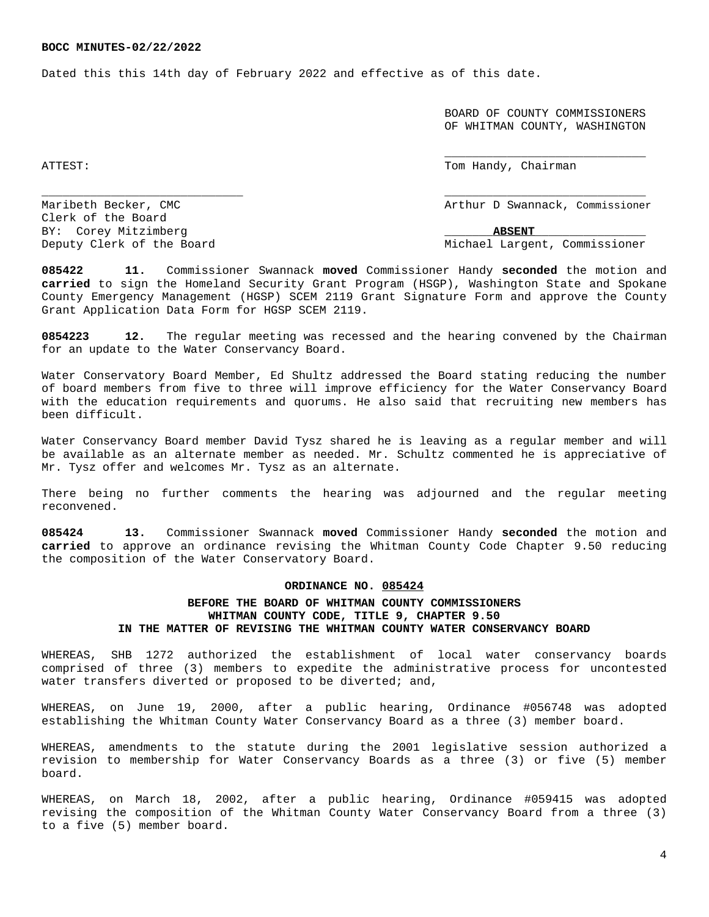Dated this this 14th day of February 2022 and effective as of this date.

 BOARD OF COUNTY COMMISSIONERS OF WHITMAN COUNTY, WASHINGTON

ATTEST: Tom Handy, Chairman and Chairman and Chairman and Chairman and Chairman and Chairman and Chairman and Chairman and Chairman and Chairman and Chairman and Chairman and Chairman and Chairman and Chairman and Chairman

\_\_\_\_\_\_\_\_\_\_\_\_\_\_\_\_\_\_\_\_\_\_\_\_\_\_\_\_\_

Maribeth Becker, CMC and the Swannack, Commissioner

Deputy Clerk of the Board Michael Largent, Commissioner

Clerk of the Board BY: Corey Mitzimberg  $\blacksquare$ 

**085422 11.** Commissioner Swannack **moved** Commissioner Handy **seconded** the motion and **carried** to sign the Homeland Security Grant Program (HSGP), Washington State and Spokane County Emergency Management (HGSP) SCEM 2119 Grant Signature Form and approve the County Grant Application Data Form for HGSP SCEM 2119.

\_\_\_\_\_\_\_\_\_\_\_\_\_\_\_\_\_\_\_\_\_\_\_\_\_\_\_\_\_ \_\_\_\_\_\_\_\_\_\_\_\_\_\_\_\_\_\_\_\_\_\_\_\_\_\_\_\_\_

**0854223 12.** The regular meeting was recessed and the hearing convened by the Chairman for an update to the Water Conservancy Board.

Water Conservatory Board Member, Ed Shultz addressed the Board stating reducing the number of board members from five to three will improve efficiency for the Water Conservancy Board with the education requirements and quorums. He also said that recruiting new members has been difficult.

Water Conservancy Board member David Tysz shared he is leaving as a regular member and will be available as an alternate member as needed. Mr. Schultz commented he is appreciative of Mr. Tysz offer and welcomes Mr. Tysz as an alternate.

There being no further comments the hearing was adjourned and the regular meeting reconvened.

**085424 13.** Commissioner Swannack **moved** Commissioner Handy **seconded** the motion and **carried** to approve an ordinance revising the Whitman County Code Chapter 9.50 reducing the composition of the Water Conservatory Board.

## **ORDINANCE NO. 085424**

# **BEFORE THE BOARD OF WHITMAN COUNTY COMMISSIONERS WHITMAN COUNTY CODE, TITLE 9, CHAPTER 9.50 IN THE MATTER OF REVISING THE WHITMAN COUNTY WATER CONSERVANCY BOARD**

WHEREAS, SHB 1272 authorized the establishment of local water conservancy boards comprised of three (3) members to expedite the administrative process for uncontested water transfers diverted or proposed to be diverted; and,

WHEREAS, on June 19, 2000, after a public hearing, Ordinance #056748 was adopted establishing the Whitman County Water Conservancy Board as a three (3) member board.

WHEREAS, amendments to the statute during the 2001 legislative session authorized a revision to membership for Water Conservancy Boards as a three (3) or five (5) member board.

WHEREAS, on March 18, 2002, after a public hearing, Ordinance #059415 was adopted revising the composition of the Whitman County Water Conservancy Board from a three (3) to a five (5) member board.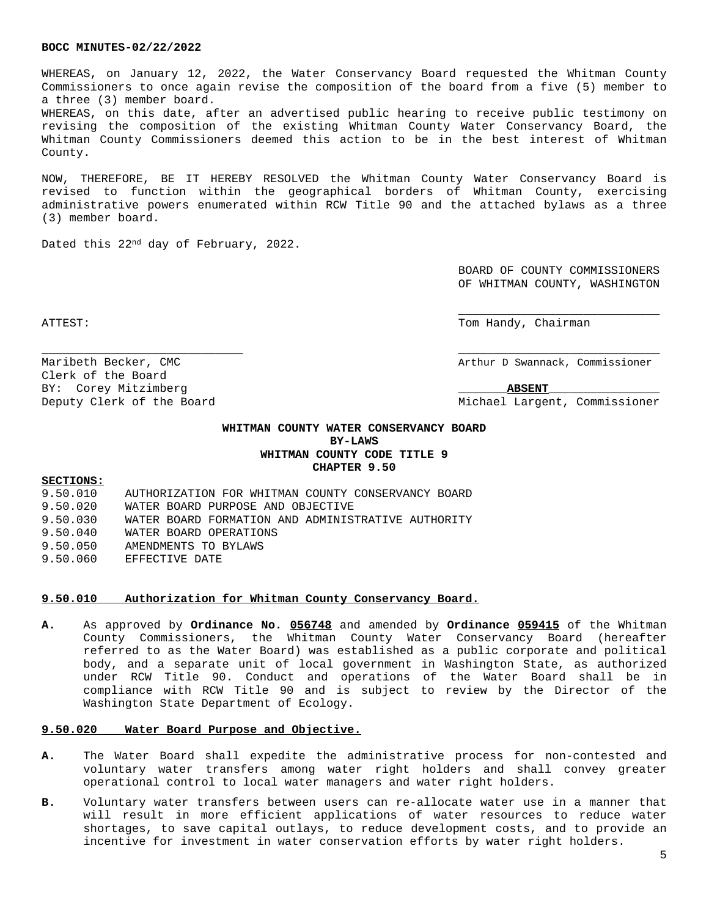WHEREAS, on January 12, 2022, the Water Conservancy Board requested the Whitman County Commissioners to once again revise the composition of the board from a five (5) member to a three (3) member board.

WHEREAS, on this date, after an advertised public hearing to receive public testimony on revising the composition of the existing Whitman County Water Conservancy Board, the Whitman County Commissioners deemed this action to be in the best interest of Whitman County.

NOW, THEREFORE, BE IT HEREBY RESOLVED the Whitman County Water Conservancy Board is revised to function within the geographical borders of Whitman County, exercising administrative powers enumerated within RCW Title 90 and the attached bylaws as a three (3) member board.

Dated this 22nd day of February, 2022.

BOARD OF COUNTY COMMISSIONERS OF WHITMAN COUNTY, WASHINGTON

\_\_\_\_\_\_\_\_\_\_\_\_\_\_\_\_\_\_\_\_\_\_\_\_\_\_\_\_\_

Clerk of the Board

ATTEST: Tom Handy, Chairman

Maribeth Becker, CMC and the commissioner of the Arthur D Swannack, Commissioner

BY: Corey Mitzimberg **ABSENT** 

Deputy Clerk of the Board Michael Largent, Commissioner

# **WHITMAN COUNTY WATER CONSERVANCY BOARD BY-LAWS WHITMAN COUNTY CODE TITLE 9 CHAPTER 9.50**

\_\_\_\_\_\_\_\_\_\_\_\_\_\_\_\_\_\_\_\_\_\_\_\_\_\_\_\_\_ \_\_\_\_\_\_\_\_\_\_\_\_\_\_\_\_\_\_\_\_\_\_\_\_\_\_\_\_\_

#### **SECTIONS:**

| 9.50.010 | AUTHORIZATION FOR WHITMAN COUNTY CONSERVANCY BOARD |
|----------|----------------------------------------------------|
| 9.50.020 | WATER BOARD PURPOSE AND OBJECTIVE                  |
| 9.50.030 | WATER BOARD FORMATION AND ADMINISTRATIVE AUTHORITY |
| 9.50.040 | WATER BOARD OPERATIONS                             |
| 9.50.050 | AMENDMENTS TO BYLAWS                               |
| 9.50.060 | EFFECTIVE DATE                                     |

## **9.50.010 Authorization for Whitman County Conservancy Board.**

**A.** As approved by **Ordinance No. 056748** and amended by **Ordinance 059415** of the Whitman County Commissioners, the Whitman County Water Conservancy Board (hereafter referred to as the Water Board) was established as a public corporate and political body, and a separate unit of local government in Washington State, as authorized under RCW Title 90. Conduct and operations of the Water Board shall be in compliance with RCW Title 90 and is subject to review by the Director of the Washington State Department of Ecology.

#### **9.50.020 Water Board Purpose and Objective.**

- **A.** The Water Board shall expedite the administrative process for non-contested and voluntary water transfers among water right holders and shall convey greater operational control to local water managers and water right holders.
- **B.** Voluntary water transfers between users can re-allocate water use in a manner that will result in more efficient applications of water resources to reduce water shortages, to save capital outlays, to reduce development costs, and to provide an incentive for investment in water conservation efforts by water right holders.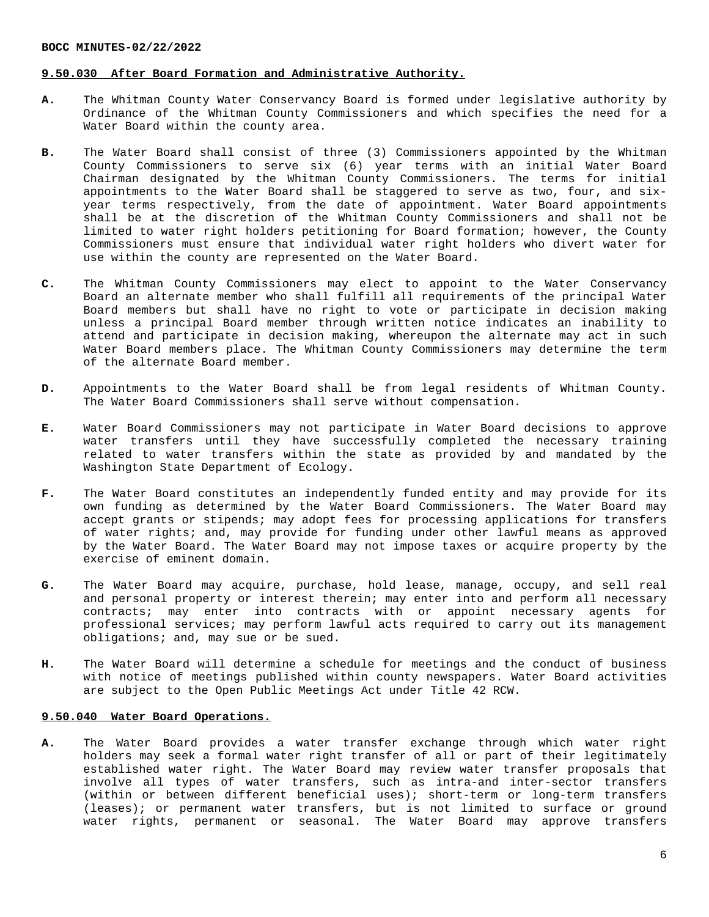## **9.50.030 After Board Formation and Administrative Authority.**

- **A.** The Whitman County Water Conservancy Board is formed under legislative authority by Ordinance of the Whitman County Commissioners and which specifies the need for a Water Board within the county area.
- **B.** The Water Board shall consist of three (3) Commissioners appointed by the Whitman County Commissioners to serve six (6) year terms with an initial Water Board Chairman designated by the Whitman County Commissioners. The terms for initial appointments to the Water Board shall be staggered to serve as two, four, and sixyear terms respectively, from the date of appointment. Water Board appointments shall be at the discretion of the Whitman County Commissioners and shall not be limited to water right holders petitioning for Board formation; however, the County Commissioners must ensure that individual water right holders who divert water for use within the county are represented on the Water Board.
- **C.** The Whitman County Commissioners may elect to appoint to the Water Conservancy Board an alternate member who shall fulfill all requirements of the principal Water Board members but shall have no right to vote or participate in decision making unless a principal Board member through written notice indicates an inability to attend and participate in decision making, whereupon the alternate may act in such Water Board members place. The Whitman County Commissioners may determine the term of the alternate Board member.
- **D.** Appointments to the Water Board shall be from legal residents of Whitman County. The Water Board Commissioners shall serve without compensation.
- **E.** Water Board Commissioners may not participate in Water Board decisions to approve water transfers until they have successfully completed the necessary training related to water transfers within the state as provided by and mandated by the Washington State Department of Ecology.
- **F.** The Water Board constitutes an independently funded entity and may provide for its own funding as determined by the Water Board Commissioners. The Water Board may accept grants or stipends; may adopt fees for processing applications for transfers of water rights; and, may provide for funding under other lawful means as approved by the Water Board. The Water Board may not impose taxes or acquire property by the exercise of eminent domain.
- **G.** The Water Board may acquire, purchase, hold lease, manage, occupy, and sell real and personal property or interest therein; may enter into and perform all necessary contracts; may enter into contracts with or appoint necessary agents for professional services; may perform lawful acts required to carry out its management obligations; and, may sue or be sued.
- **H.** The Water Board will determine a schedule for meetings and the conduct of business with notice of meetings published within county newspapers. Water Board activities are subject to the Open Public Meetings Act under Title 42 RCW.

# **9.50.040 Water Board Operations.**

**A.** The Water Board provides a water transfer exchange through which water right holders may seek a formal water right transfer of all or part of their legitimately established water right. The Water Board may review water transfer proposals that involve all types of water transfers, such as intra-and inter-sector transfers (within or between different beneficial uses); short-term or long-term transfers (leases); or permanent water transfers, but is not limited to surface or ground water rights, permanent or seasonal. The Water Board may approve transfers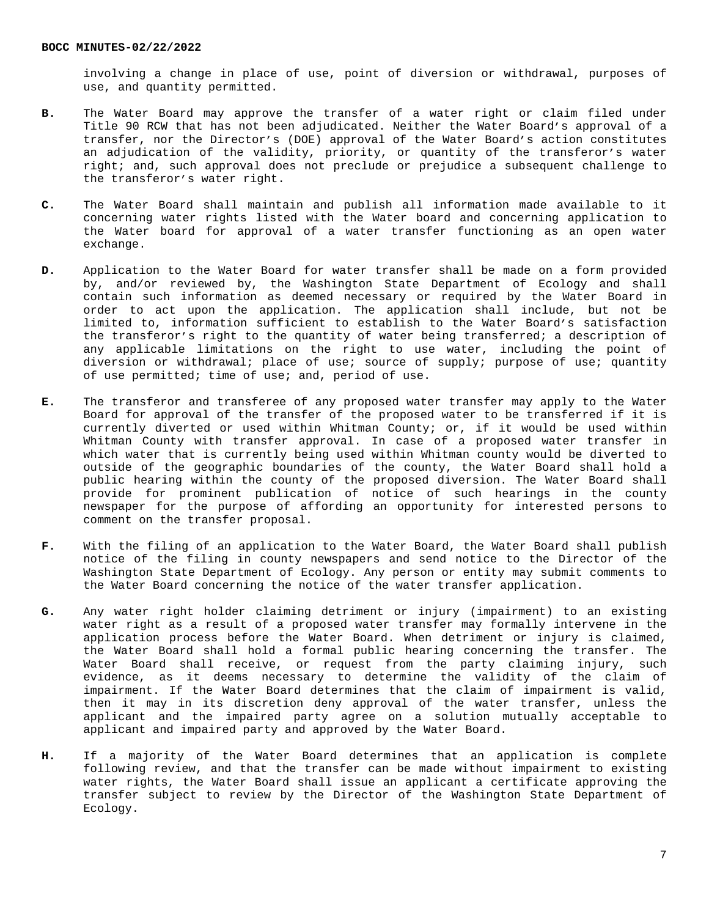involving a change in place of use, point of diversion or withdrawal, purposes of use, and quantity permitted.

- **B.** The Water Board may approve the transfer of a water right or claim filed under Title 90 RCW that has not been adjudicated. Neither the Water Board's approval of a transfer, nor the Director's (DOE) approval of the Water Board's action constitutes an adjudication of the validity, priority, or quantity of the transferor's water right; and, such approval does not preclude or prejudice a subsequent challenge to the transferor's water right.
- **C.** The Water Board shall maintain and publish all information made available to it concerning water rights listed with the Water board and concerning application to the Water board for approval of a water transfer functioning as an open water exchange.
- **D.** Application to the Water Board for water transfer shall be made on a form provided by, and/or reviewed by, the Washington State Department of Ecology and shall contain such information as deemed necessary or required by the Water Board in order to act upon the application. The application shall include, but not be limited to, information sufficient to establish to the Water Board's satisfaction the transferor's right to the quantity of water being transferred; a description of any applicable limitations on the right to use water, including the point of diversion or withdrawal; place of use; source of supply; purpose of use; quantity of use permitted; time of use; and, period of use.
- **E.** The transferor and transferee of any proposed water transfer may apply to the Water Board for approval of the transfer of the proposed water to be transferred if it is currently diverted or used within Whitman County; or, if it would be used within Whitman County with transfer approval. In case of a proposed water transfer in which water that is currently being used within Whitman county would be diverted to outside of the geographic boundaries of the county, the Water Board shall hold a public hearing within the county of the proposed diversion. The Water Board shall provide for prominent publication of notice of such hearings in the county newspaper for the purpose of affording an opportunity for interested persons to comment on the transfer proposal.
- **F.** With the filing of an application to the Water Board, the Water Board shall publish notice of the filing in county newspapers and send notice to the Director of the Washington State Department of Ecology. Any person or entity may submit comments to the Water Board concerning the notice of the water transfer application.
- **G.** Any water right holder claiming detriment or injury (impairment) to an existing water right as a result of a proposed water transfer may formally intervene in the application process before the Water Board. When detriment or injury is claimed, the Water Board shall hold a formal public hearing concerning the transfer. The Water Board shall receive, or request from the party claiming injury, such evidence, as it deems necessary to determine the validity of the claim of impairment. If the Water Board determines that the claim of impairment is valid, then it may in its discretion deny approval of the water transfer, unless the applicant and the impaired party agree on a solution mutually acceptable to applicant and impaired party and approved by the Water Board.
- **H.** If a majority of the Water Board determines that an application is complete following review, and that the transfer can be made without impairment to existing water rights, the Water Board shall issue an applicant a certificate approving the transfer subject to review by the Director of the Washington State Department of Ecology.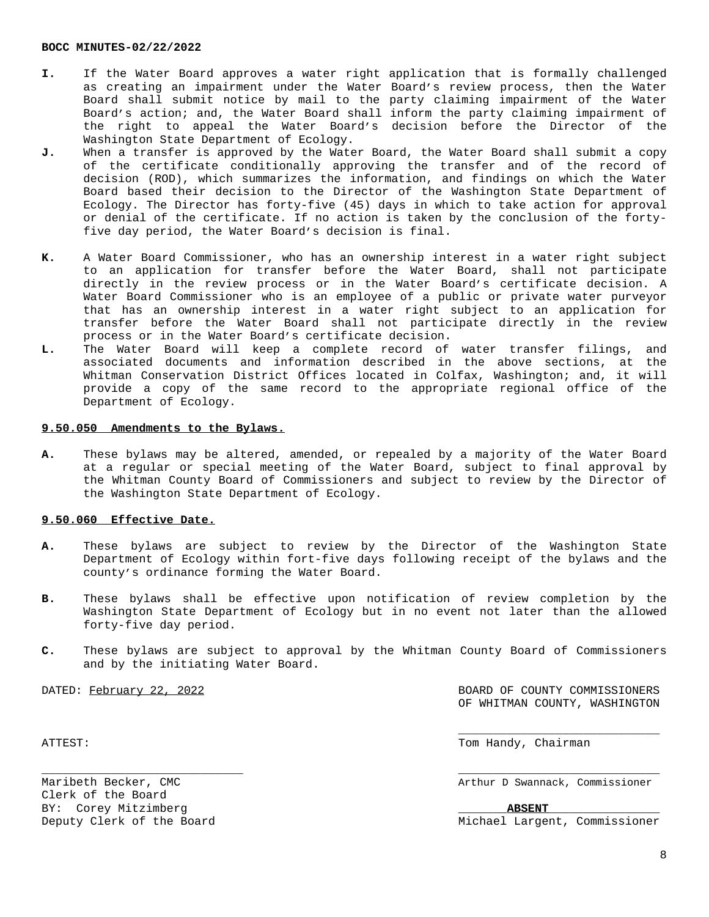- **I.** If the Water Board approves a water right application that is formally challenged as creating an impairment under the Water Board's review process, then the Water Board shall submit notice by mail to the party claiming impairment of the Water Board's action; and, the Water Board shall inform the party claiming impairment of the right to appeal the Water Board's decision before the Director of the Washington State Department of Ecology.
- J. When a transfer is approved by the Water Board, the Water Board shall submit a copy of the certificate conditionally approving the transfer and of the record of decision (ROD), which summarizes the information, and findings on which the Water Board based their decision to the Director of the Washington State Department of Ecology. The Director has forty-five (45) days in which to take action for approval or denial of the certificate. If no action is taken by the conclusion of the fortyfive day period, the Water Board's decision is final.
- **K.** A Water Board Commissioner, who has an ownership interest in a water right subject to an application for transfer before the Water Board, shall not participate directly in the review process or in the Water Board's certificate decision. A Water Board Commissioner who is an employee of a public or private water purveyor that has an ownership interest in a water right subject to an application for transfer before the Water Board shall not participate directly in the review process or in the Water Board's certificate decision.
- **L.** The Water Board will keep a complete record of water transfer filings, and associated documents and information described in the above sections, at the Whitman Conservation District Offices located in Colfax, Washington; and, it will provide a copy of the same record to the appropriate regional office of the Department of Ecology.

# **9.50.050 Amendments to the Bylaws.**

**A.** These bylaws may be altered, amended, or repealed by a majority of the Water Board at a regular or special meeting of the Water Board, subject to final approval by the Whitman County Board of Commissioners and subject to review by the Director of the Washington State Department of Ecology.

# **9.50.060 Effective Date.**

- **A.** These bylaws are subject to review by the Director of the Washington State Department of Ecology within fort-five days following receipt of the bylaws and the county's ordinance forming the Water Board.
- **B.** These bylaws shall be effective upon notification of review completion by the Washington State Department of Ecology but in no event not later than the allowed forty-five day period.
- **C.** These bylaws are subject to approval by the Whitman County Board of Commissioners and by the initiating Water Board.

\_\_\_\_\_\_\_\_\_\_\_\_\_\_\_\_\_\_\_\_\_\_\_\_\_\_\_\_\_ \_\_\_\_\_\_\_\_\_\_\_\_\_\_\_\_\_\_\_\_\_\_\_\_\_\_\_\_\_

DATED: February 22, 2022 BOARD OF COUNTY COMMISSIONERS OF WHITMAN COUNTY, WASHINGTON

\_\_\_\_\_\_\_\_\_\_\_\_\_\_\_\_\_\_\_\_\_\_\_\_\_\_\_\_\_

Clerk of the Board BY: Corey Mitzimberg **ABSENT** 

ATTEST: Tom Handy, Chairman (1999) and the set of the set of the set of the set of the set of the set of the set of the set of the set of the set of the set of the set of the set of the set of the set of the set of the set

Maribeth Becker, CMC Arthur D Swannack, Commissioner

Deputy Clerk of the Board Michael Largent, Commissioner

8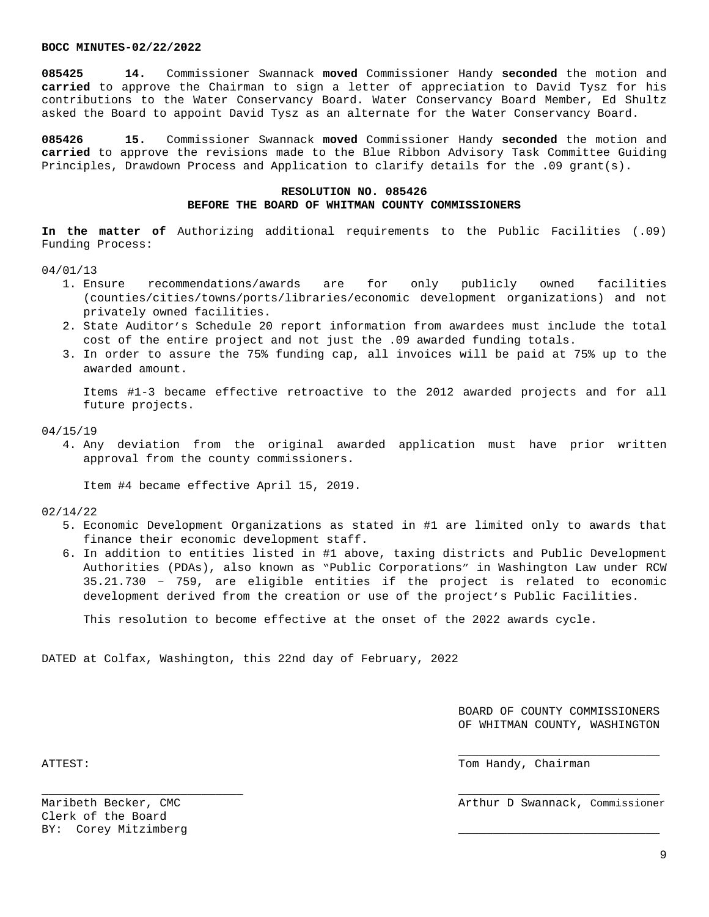**085425 14.** Commissioner Swannack **moved** Commissioner Handy **seconded** the motion and **carried** to approve the Chairman to sign a letter of appreciation to David Tysz for his contributions to the Water Conservancy Board. Water Conservancy Board Member, Ed Shultz asked the Board to appoint David Tysz as an alternate for the Water Conservancy Board.

**085426 15.** Commissioner Swannack **moved** Commissioner Handy **seconded** the motion and **carried** to approve the revisions made to the Blue Ribbon Advisory Task Committee Guiding Principles, Drawdown Process and Application to clarify details for the .09 grant(s).

# **RESOLUTION NO. 085426 BEFORE THE BOARD OF WHITMAN COUNTY COMMISSIONERS**

**In the matter of** Authorizing additional requirements to the Public Facilities (.09) Funding Process:

### 04/01/13

- 1. Ensure recommendations/awards are for only publicly owned facilities (counties/cities/towns/ports/libraries/economic development organizations) and not privately owned facilities.
- 2. State Auditor's Schedule 20 report information from awardees must include the total cost of the entire project and not just the .09 awarded funding totals.
- 3. In order to assure the 75% funding cap, all invoices will be paid at 75% up to the awarded amount.

Items #1-3 became effective retroactive to the 2012 awarded projects and for all future projects.

04/15/19

4. Any deviation from the original awarded application must have prior written approval from the county commissioners.

Item #4 became effective April 15, 2019.

#### 02/14/22

- 5. Economic Development Organizations as stated in #1 are limited only to awards that finance their economic development staff.
- 6. In addition to entities listed in #1 above, taxing districts and Public Development Authorities (PDAs), also known as "Public Corporations" in Washington Law under RCW 35.21.730 – 759, are eligible entities if the project is related to economic development derived from the creation or use of the project's Public Facilities.

This resolution to become effective at the onset of the 2022 awards cycle.

\_\_\_\_\_\_\_\_\_\_\_\_\_\_\_\_\_\_\_\_\_\_\_\_\_\_\_\_\_ \_\_\_\_\_\_\_\_\_\_\_\_\_\_\_\_\_\_\_\_\_\_\_\_\_\_\_\_\_

DATED at Colfax, Washington, this 22nd day of February, 2022

BOARD OF COUNTY COMMISSIONERS OF WHITMAN COUNTY, WASHINGTON

\_\_\_\_\_\_\_\_\_\_\_\_\_\_\_\_\_\_\_\_\_\_\_\_\_\_\_\_\_

ATTEST: The extension of the extension of the extension of the extension of the extension of the extension of the extension of the extension of the extension of the extension of the extension of the extension of the extens

Maribeth Becker, CMC and Swannack, Commissioner (Maribeth Becker, Commissioner Arthur D Swannack, Commissioner

Clerk of the Board BY: Corey Mitzimberg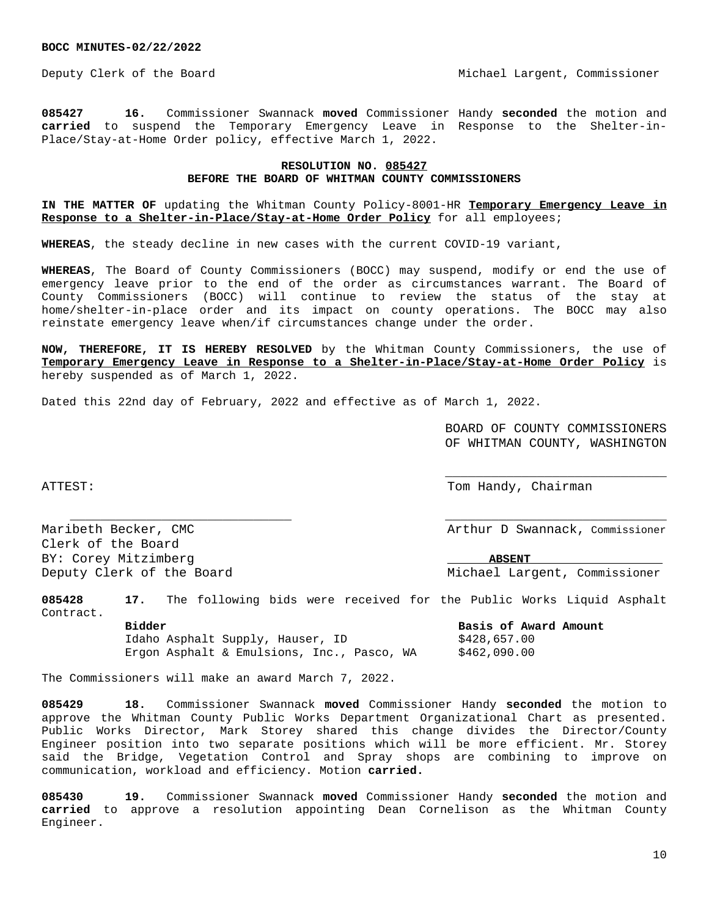Deputy Clerk of the Board Michael Largent, Commissioner

**085427 16.** Commissioner Swannack **moved** Commissioner Handy **seconded** the motion and **carried** to suspend the Temporary Emergency Leave in Response to the Shelter-in-Place/Stay-at-Home Order policy, effective March 1, 2022.

# **RESOLUTION NO. 085427 BEFORE THE BOARD OF WHITMAN COUNTY COMMISSIONERS**

**IN THE MATTER OF** updating the Whitman County Policy-8001-HR **Temporary Emergency Leave in Response to a Shelter-in-Place/Stay-at-Home Order Policy** for all employees;

**WHEREAS**, the steady decline in new cases with the current COVID-19 variant,

**WHEREAS**, The Board of County Commissioners (BOCC) may suspend, modify or end the use of emergency leave prior to the end of the order as circumstances warrant. The Board of County Commissioners (BOCC) will continue to review the status of the stay at home/shelter-in-place order and its impact on county operations. The BOCC may also reinstate emergency leave when/if circumstances change under the order.

**NOW, THEREFORE, IT IS HEREBY RESOLVED** by the Whitman County Commissioners, the use of **Temporary Emergency Leave in Response to a Shelter-in-Place/Stay-at-Home Order Policy** is hereby suspended as of March 1, 2022.

Dated this 22nd day of February, 2022 and effective as of March 1, 2022.

BOARD OF COUNTY COMMISSIONERS OF WHITMAN COUNTY, WASHINGTON

\_\_\_\_\_\_\_\_\_\_\_\_\_\_\_\_\_\_\_\_\_\_\_\_\_\_\_\_\_

ATTEST: Tom Handy, Chairman and Tom Handy, Chairman and Tom Handy, Chairman

Maribeth Becker, CMC and South Burners and Arthur D Swannack, Commissioner Clerk of the Board BY: Corey Mitzimberg **ABSENT** 

\_\_\_\_\_\_\_\_\_\_\_\_\_\_\_\_\_\_\_\_\_\_\_\_\_\_\_\_\_ \_\_\_\_\_\_\_\_\_\_\_\_\_\_\_\_\_\_\_\_\_\_\_\_\_\_\_\_\_

Deputy Clerk of the Board and Michael Largent, Commissioner

**085428 17.** The following bids were received for the Public Works Liquid Asphalt Contract.

**Bidder Basis of Award Amount** Idaho Asphalt Supply, Hauser, ID \$428,657.00 Ergon Asphalt & Emulsions, Inc., Pasco, WA \$462,090.00

The Commissioners will make an award March 7, 2022.

**085429 18.** Commissioner Swannack **moved** Commissioner Handy **seconded** the motion to approve the Whitman County Public Works Department Organizational Chart as presented. Public Works Director, Mark Storey shared this change divides the Director/County Engineer position into two separate positions which will be more efficient. Mr. Storey said the Bridge, Vegetation Control and Spray shops are combining to improve on communication, workload and efficiency. Motion **carried.**

**085430 19.** Commissioner Swannack **moved** Commissioner Handy **seconded** the motion and **carried** to approve a resolution appointing Dean Cornelison as the Whitman County Engineer.

10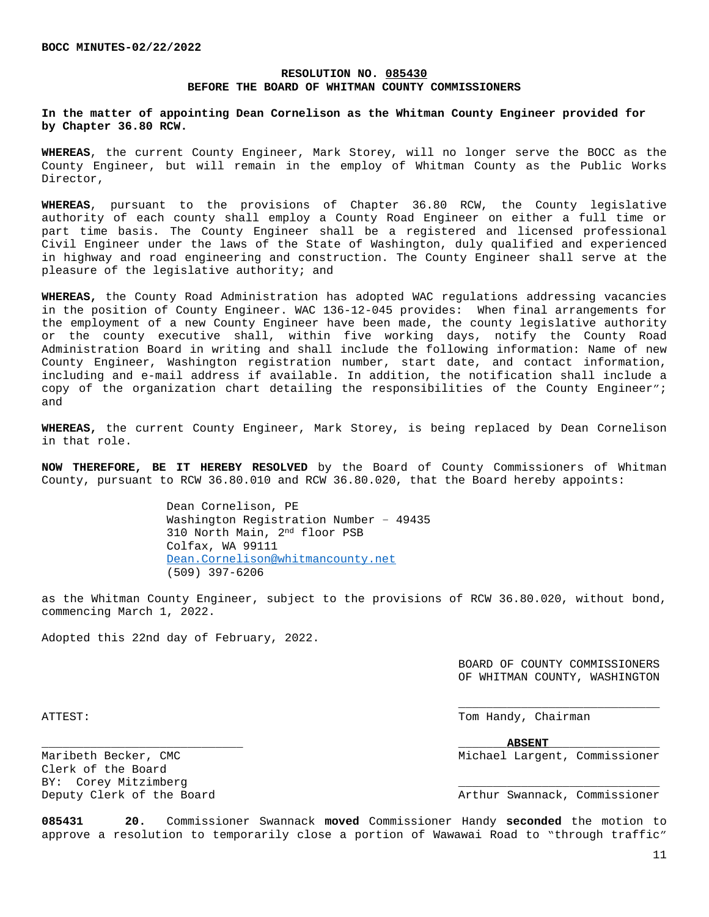# **RESOLUTION NO. 085430 BEFORE THE BOARD OF WHITMAN COUNTY COMMISSIONERS**

# **In the matter of appointing Dean Cornelison as the Whitman County Engineer provided for by Chapter 36.80 RCW.**

**WHEREAS**, the current County Engineer, Mark Storey, will no longer serve the BOCC as the County Engineer, but will remain in the employ of Whitman County as the Public Works Director,

**WHEREAS**, pursuant to the provisions of Chapter 36.80 RCW, the County legislative authority of each county shall employ a County Road Engineer on either a full time or part time basis. The County Engineer shall be a registered and licensed professional Civil Engineer under the laws of the State of Washington, duly qualified and experienced in highway and road engineering and construction. The County Engineer shall serve at the pleasure of the legislative authority; and

**WHEREAS,** the County Road Administration has adopted WAC regulations addressing vacancies in the position of County Engineer. WAC 136-12-045 provides: When final arrangements for the employment of a new County Engineer have been made, the county legislative authority or the county executive shall, within five working days, notify the County Road Administration Board in writing and shall include the following information: Name of new County Engineer, Washington registration number, start date, and contact information, including and e-mail address if available. In addition, the notification shall include a copy of the organization chart detailing the responsibilities of the County Engineer"; and

**WHEREAS,** the current County Engineer, Mark Storey, is being replaced by Dean Cornelison in that role.

**NOW THEREFORE, BE IT HEREBY RESOLVED** by the Board of County Commissioners of Whitman County, pursuant to RCW 36.80.010 and RCW 36.80.020, that the Board hereby appoints:

> Dean Cornelison, PE Washington Registration Number – 49435 310 North Main, 2nd floor PSB Colfax, WA 99111 [Dean.Cornelison@whitmancounty.net](mailto:Dean.Cornelison@whitmancounty.net) (509) 397-6206

as the Whitman County Engineer, subject to the provisions of RCW 36.80.020, without bond, commencing March 1, 2022.

Adopted this 22nd day of February, 2022.

BOARD OF COUNTY COMMISSIONERS OF WHITMAN COUNTY, WASHINGTON

\_\_\_\_\_\_\_\_\_\_\_\_\_\_\_\_\_\_\_\_\_\_\_\_\_\_\_\_\_

ATTEST: Tom Handy, Chairman

\_\_\_\_\_\_\_\_\_\_\_\_\_\_\_\_\_\_\_\_\_\_\_\_\_\_\_\_\_ \_\_\_\_\_\_\_**ABSENT**\_\_\_\_\_\_\_\_\_\_\_\_\_\_\_\_ Maribeth Becker, CMC and Michael Largent, Commissioner

Clerk of the Board BY: Corey Mitzimberg

Deputy Clerk of the Board **Arthur Swannack, Commissioner** Arthur Swannack, Commissioner

**085431 20.** Commissioner Swannack **moved** Commissioner Handy **seconded** the motion to approve a resolution to temporarily close a portion of Wawawai Road to "through traffic"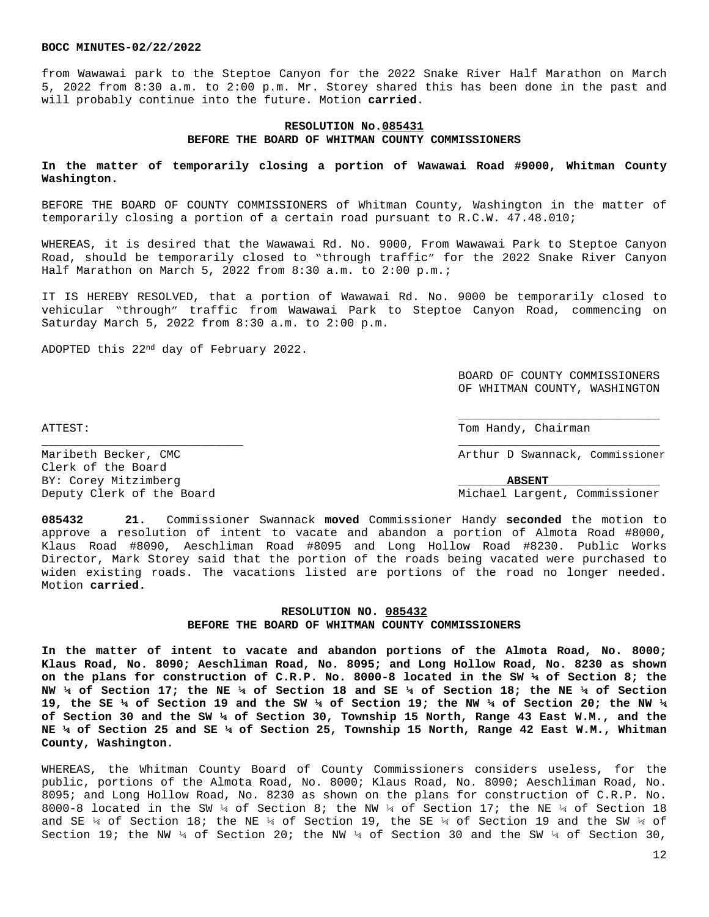from Wawawai park to the Steptoe Canyon for the 2022 Snake River Half Marathon on March 5, 2022 from 8:30 a.m. to 2:00 p.m. Mr. Storey shared this has been done in the past and will probably continue into the future. Motion **carried**.

# **RESOLUTION No.085431 BEFORE THE BOARD OF WHITMAN COUNTY COMMISSIONERS**

# **In the matter of temporarily closing a portion of Wawawai Road #9000, Whitman County Washington.**

BEFORE THE BOARD OF COUNTY COMMISSIONERS of Whitman County, Washington in the matter of temporarily closing a portion of a certain road pursuant to R.C.W. 47.48.010;

WHEREAS, it is desired that the Wawawai Rd. No. 9000, From Wawawai Park to Steptoe Canyon Road, should be temporarily closed to "through traffic" for the 2022 Snake River Canyon Half Marathon on March 5, 2022 from 8:30 a.m. to 2:00 p.m.;

IT IS HEREBY RESOLVED, that a portion of Wawawai Rd. No. 9000 be temporarily closed to vehicular "through" traffic from Wawawai Park to Steptoe Canyon Road, commencing on Saturday March 5, 2022 from 8:30 a.m. to 2:00 p.m.

ADOPTED this 22nd day of February 2022.

BOARD OF COUNTY COMMISSIONERS OF WHITMAN COUNTY, WASHINGTON

\_\_\_\_\_\_\_\_\_\_\_\_\_\_\_\_\_\_\_\_\_\_\_\_\_\_\_\_\_

ATTEST: Tom Handy, Chairman and Chairman and Chairman and Chairman and Chairman and Chairman and Chairman and Chairman and Chairman and Chairman and Chairman and Chairman and Chairman and Chairman and Chairman and Chairman

Maribeth Becker, CMC and Swannack, Commissioner Clerk of the Board BY: Corey Mitzimberg **ABSENT** 

Deputy Clerk of the Board Michael Largent, Commissioner

**085432 21.** Commissioner Swannack **moved** Commissioner Handy **seconded** the motion to approve a resolution of intent to vacate and abandon a portion of Almota Road #8000, Klaus Road #8090, Aeschliman Road #8095 and Long Hollow Road #8230. Public Works Director, Mark Storey said that the portion of the roads being vacated were purchased to widen existing roads. The vacations listed are portions of the road no longer needed. Motion **carried.**

\_\_\_\_\_\_\_\_\_\_\_\_\_\_\_\_\_\_\_\_\_\_\_\_\_\_\_\_\_ \_\_\_\_\_\_\_\_\_\_\_\_\_\_\_\_\_\_\_\_\_\_\_\_\_\_\_\_\_

# **RESOLUTION NO. 085432 BEFORE THE BOARD OF WHITMAN COUNTY COMMISSIONERS**

**In the matter of intent to vacate and abandon portions of the Almota Road, No. 8000; Klaus Road, No. 8090; Aeschliman Road, No. 8095; and Long Hollow Road, No. 8230 as shown on the plans for construction of C.R.P. No. 8000-8 located in the SW ¼ of Section 8; the** NW 1/4 of Section 17; the NE 1/4 of Section 18 and SE 1/4 of Section 18; the NE 1/4 of Section 19, the SE 1/4 of Section 19 and the SW 1/4 of Section 19; the NW 1/4 of Section 20; the NW 1/4 **of Section 30 and the SW ¼ of Section 30, Township 15 North, Range 43 East W.M., and the NE ¼ of Section 25 and SE ¼ of Section 25, Township 15 North, Range 42 East W.M., Whitman County, Washington.** 

WHEREAS, the Whitman County Board of County Commissioners considers useless, for the public, portions of the Almota Road, No. 8000; Klaus Road, No. 8090; Aeschliman Road, No. 8095; and Long Hollow Road, No. 8230 as shown on the plans for construction of C.R.P. No. 8000-8 located in the SW 1/4 of Section 8; the NW 1/4 of Section 17; the NE 1/4 of Section 18 and SE  $\frac{1}{4}$  of Section 18; the NE  $\frac{1}{4}$  of Section 19, the SE  $\frac{1}{4}$  of Section 19 and the SW  $\frac{1}{4}$  of Section 19; the NW  $\frac{1}{4}$  of Section 20; the NW  $\frac{1}{4}$  of Section 30 and the SW  $\frac{1}{4}$  of Section 30,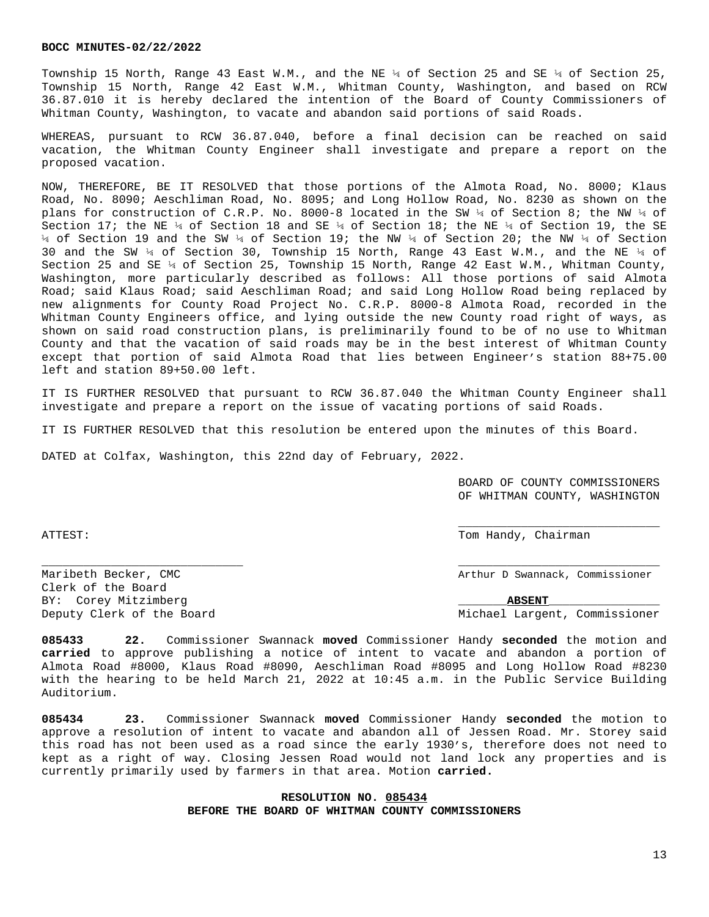Township 15 North, Range 43 East W.M., and the NE ¼ of Section 25 and SE ¼ of Section 25, Township 15 North, Range 42 East W.M., Whitman County, Washington, and based on RCW 36.87.010 it is hereby declared the intention of the Board of County Commissioners of Whitman County, Washington, to vacate and abandon said portions of said Roads.

WHEREAS, pursuant to RCW 36.87.040, before a final decision can be reached on said vacation, the Whitman County Engineer shall investigate and prepare a report on the proposed vacation.

NOW, THEREFORE, BE IT RESOLVED that those portions of the Almota Road, No. 8000; Klaus Road, No. 8090; Aeschliman Road, No. 8095; and Long Hollow Road, No. 8230 as shown on the plans for construction of C.R.P. No. 8000-8 located in the SW ¼ of Section 8; the NW ¼ of Section 17; the NE  $\frac{1}{4}$  of Section 18 and SE  $\frac{1}{4}$  of Section 18; the NE  $\frac{1}{4}$  of Section 19, the SE ¼ of Section 19 and the SW ¼ of Section 19; the NW ¼ of Section 20; the NW ¼ of Section 30 and the SW  $\frac{1}{4}$  of Section 30, Township 15 North, Range 43 East W.M., and the NE  $\frac{1}{4}$  of Section 25 and SE  $\frac{1}{4}$  of Section 25, Township 15 North, Range 42 East W.M., Whitman County, Washington, more particularly described as follows: All those portions of said Almota Road; said Klaus Road; said Aeschliman Road; and said Long Hollow Road being replaced by new alignments for County Road Project No. C.R.P. 8000-8 Almota Road, recorded in the Whitman County Engineers office, and lying outside the new County road right of ways, as shown on said road construction plans, is preliminarily found to be of no use to Whitman County and that the vacation of said roads may be in the best interest of Whitman County except that portion of said Almota Road that lies between Engineer's station 88+75.00 left and station 89+50.00 left.

IT IS FURTHER RESOLVED that pursuant to RCW 36.87.040 the Whitman County Engineer shall investigate and prepare a report on the issue of vacating portions of said Roads.

IT IS FURTHER RESOLVED that this resolution be entered upon the minutes of this Board.

DATED at Colfax, Washington, this 22nd day of February, 2022.

BOARD OF COUNTY COMMISSIONERS OF WHITMAN COUNTY, WASHINGTON

\_\_\_\_\_\_\_\_\_\_\_\_\_\_\_\_\_\_\_\_\_\_\_\_\_\_\_\_\_

ATTEST: Tom Handy, Chairman and Chairman and Chairman and Chairman and Chairman and Chairman and Chairman and Chairman and Chairman and Chairman and Chairman and Chairman and Chairman and Chairman and Chairman and Chairman

Maribeth Becker, CMC Arthur D Swannack, Commissioner

Deputy Clerk of the Board Michael Largent, Commissioner

Clerk of the Board BY: Corey Mitzimberg **ABSENT** 

**085433 22.** Commissioner Swannack **moved** Commissioner Handy **seconded** the motion and **carried** to approve publishing a notice of intent to vacate and abandon a portion of Almota Road #8000, Klaus Road #8090, Aeschliman Road #8095 and Long Hollow Road #8230 with the hearing to be held March 21, 2022 at 10:45 a.m. in the Public Service Building Auditorium.

\_\_\_\_\_\_\_\_\_\_\_\_\_\_\_\_\_\_\_\_\_\_\_\_\_\_\_\_\_ \_\_\_\_\_\_\_\_\_\_\_\_\_\_\_\_\_\_\_\_\_\_\_\_\_\_\_\_\_

**085434 23.** Commissioner Swannack **moved** Commissioner Handy **seconded** the motion to approve a resolution of intent to vacate and abandon all of Jessen Road. Mr. Storey said this road has not been used as a road since the early 1930's, therefore does not need to kept as a right of way. Closing Jessen Road would not land lock any properties and is currently primarily used by farmers in that area. Motion **carried.**

# **RESOLUTION NO. 085434 BEFORE THE BOARD OF WHITMAN COUNTY COMMISSIONERS**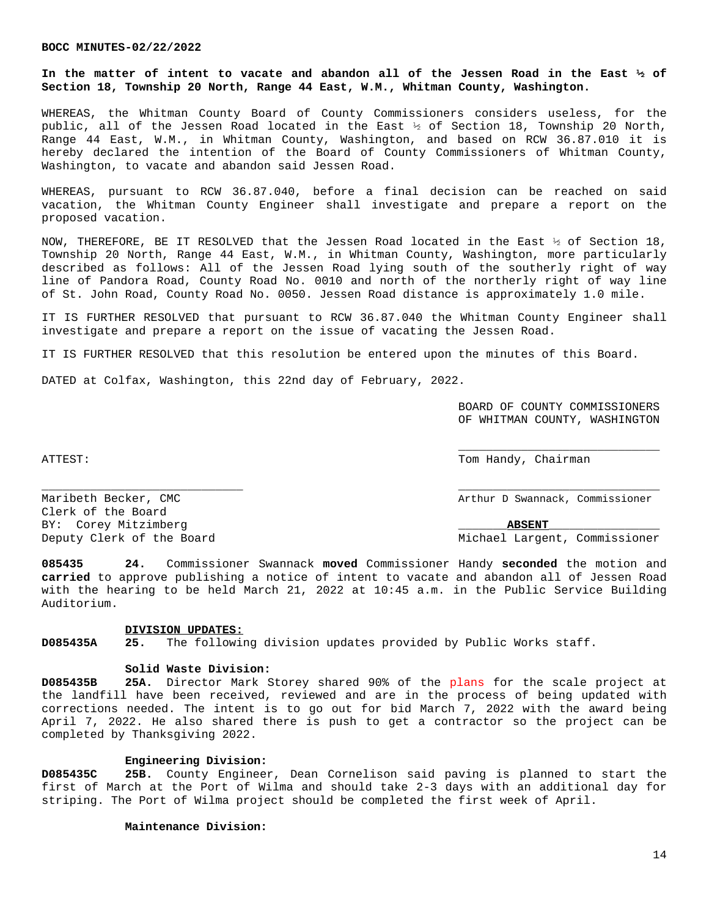**In the matter of intent to vacate and abandon all of the Jessen Road in the East ½ of Section 18, Township 20 North, Range 44 East, W.M., Whitman County, Washington.**

WHEREAS, the Whitman County Board of County Commissioners considers useless, for the public, all of the Jessen Road located in the East ½ of Section 18, Township 20 North, Range 44 East, W.M., in Whitman County, Washington, and based on RCW 36.87.010 it is hereby declared the intention of the Board of County Commissioners of Whitman County, Washington, to vacate and abandon said Jessen Road.

WHEREAS, pursuant to RCW 36.87.040, before a final decision can be reached on said vacation, the Whitman County Engineer shall investigate and prepare a report on the proposed vacation.

NOW, THEREFORE, BE IT RESOLVED that the Jessen Road located in the East ½ of Section 18, Township 20 North, Range 44 East, W.M., in Whitman County, Washington, more particularly described as follows: All of the Jessen Road lying south of the southerly right of way line of Pandora Road, County Road No. 0010 and north of the northerly right of way line of St. John Road, County Road No. 0050. Jessen Road distance is approximately 1.0 mile.

IT IS FURTHER RESOLVED that pursuant to RCW 36.87.040 the Whitman County Engineer shall investigate and prepare a report on the issue of vacating the Jessen Road.

IT IS FURTHER RESOLVED that this resolution be entered upon the minutes of this Board.

DATED at Colfax, Washington, this 22nd day of February, 2022.

BOARD OF COUNTY COMMISSIONERS OF WHITMAN COUNTY, WASHINGTON

\_\_\_\_\_\_\_\_\_\_\_\_\_\_\_\_\_\_\_\_\_\_\_\_\_\_\_\_\_

ATTEST: Tom Handy, Chairman

Maribeth Becker, CMC Arthur D Swannack, Commissioner

Clerk of the Board BY: Corey Mitzimberg  $\qquad \qquad \qquad$ Deputy Clerk of the Board Michael Largent, Commissioner

**085435 24.** Commissioner Swannack **moved** Commissioner Handy **seconded** the motion and **carried** to approve publishing a notice of intent to vacate and abandon all of Jessen Road with the hearing to be held March 21, 2022 at 10:45 a.m. in the Public Service Building Auditorium.

\_\_\_\_\_\_\_\_\_\_\_\_\_\_\_\_\_\_\_\_\_\_\_\_\_\_\_\_\_ \_\_\_\_\_\_\_\_\_\_\_\_\_\_\_\_\_\_\_\_\_\_\_\_\_\_\_\_\_

## **DIVISION UPDATES:**

**D085435A 25.** The following division updates provided by Public Works staff.

## **Solid Waste Division:**

**D085435B 25A.** Director Mark Storey shared 90% of the plans for the scale project at the landfill have been received, reviewed and are in the process of being updated with corrections needed. The intent is to go out for bid March 7, 2022 with the award being April 7, 2022. He also shared there is push to get a contractor so the project can be completed by Thanksgiving 2022.

## **Engineering Division:**

**D085435C 25B.** County Engineer, Dean Cornelison said paving is planned to start the first of March at the Port of Wilma and should take 2-3 days with an additional day for striping. The Port of Wilma project should be completed the first week of April.

## **Maintenance Division:**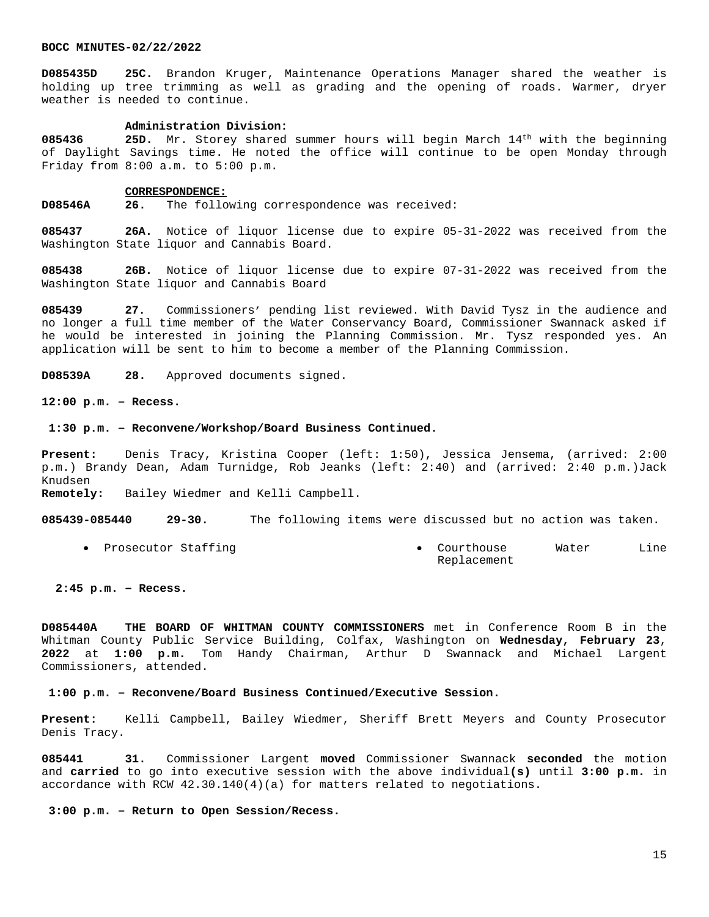**D085435D 25C.** Brandon Kruger, Maintenance Operations Manager shared the weather is holding up tree trimming as well as grading and the opening of roads. Warmer, dryer weather is needed to continue.

#### **Administration Division:**

**085436 25D.** Mr. Storey shared summer hours will begin March 14th with the beginning of Daylight Savings time. He noted the office will continue to be open Monday through Friday from 8:00 a.m. to 5:00 p.m.

#### **CORRESPONDENCE:**

**D08546A 26.** The following correspondence was received:

**085437 26A.** Notice of liquor license due to expire 05-31-2022 was received from the Washington State liquor and Cannabis Board.

**085438 26B.** Notice of liquor license due to expire 07-31-2022 was received from the Washington State liquor and Cannabis Board

**085439 27.** Commissioners' pending list reviewed. With David Tysz in the audience and no longer a full time member of the Water Conservancy Board, Commissioner Swannack asked if he would be interested in joining the Planning Commission. Mr. Tysz responded yes. An application will be sent to him to become a member of the Planning Commission.

**D08539A 28.** Approved documents signed.

# **12:00 p.m. – Recess.**

#### **1:30 p.m. – Reconvene/Workshop/Board Business Continued.**

**Present:** Denis Tracy, Kristina Cooper (left: 1:50), Jessica Jensema, (arrived: 2:00 p.m.) Brandy Dean, Adam Turnidge, Rob Jeanks (left: 2:40) and (arrived: 2:40 p.m.)Jack Knudsen **Remotely:** Bailey Wiedmer and Kelli Campbell.

**085439-085440 29-30.** The following items were discussed but no action was taken.

• Prosecutor Staffing The Courthouse Water Line Replacement

# **2:45 p.m. – Recess.**

**D085440A THE BOARD OF WHITMAN COUNTY COMMISSIONERS** met in Conference Room B in the Whitman County Public Service Building, Colfax, Washington on **Wednesday, February 23**, **2022** at **1:00 p.m.** Tom Handy Chairman, Arthur D Swannack and Michael Largent Commissioners, attended.

## **1:00 p.m. – Reconvene/Board Business Continued/Executive Session.**

**Present:** Kelli Campbell, Bailey Wiedmer, Sheriff Brett Meyers and County Prosecutor Denis Tracy.

**085441 31.** Commissioner Largent **moved** Commissioner Swannack **seconded** the motion and **carried** to go into executive session with the above individual**(s)** until **3:00 p.m.** in accordance with RCW 42.30.140(4)(a) for matters related to negotiations.

#### **3:00 p.m. – Return to Open Session/Recess.**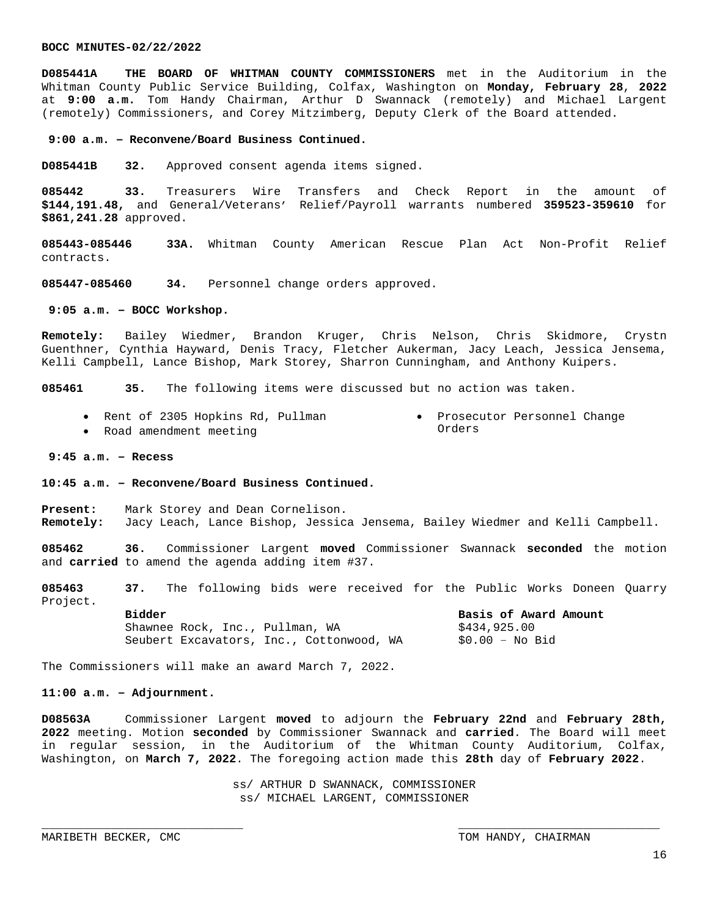**D085441A THE BOARD OF WHITMAN COUNTY COMMISSIONERS** met in the Auditorium in the Whitman County Public Service Building, Colfax, Washington on **Monday, February 28**, **2022** at **9:00 a.m.** Tom Handy Chairman, Arthur D Swannack (remotely) and Michael Largent (remotely) Commissioners, and Corey Mitzimberg, Deputy Clerk of the Board attended.

#### **9:00 a.m. – Reconvene/Board Business Continued.**

**D085441B 32.** Approved consent agenda items signed.

**085442 33.** Treasurers Wire Transfers and Check Report in the amount of **\$144,191.48,** and General/Veterans' Relief/Payroll warrants numbered **359523-359610** for **\$861,241.28** approved.

**085443-085446 33A.** Whitman County American Rescue Plan Act Non-Profit Relief contracts.

**085447-085460 34.** Personnel change orders approved.

 **9:05 a.m. – BOCC Workshop.**

**Remotely:** Bailey Wiedmer, Brandon Kruger, Chris Nelson, Chris Skidmore, Crystn Guenthner, Cynthia Hayward, Denis Tracy, Fletcher Aukerman, Jacy Leach, Jessica Jensema, Kelli Campbell, Lance Bishop, Mark Storey, Sharron Cunningham, and Anthony Kuipers.

**085461 35.** The following items were discussed but no action was taken.

- Rent of 2305 Hopkins Rd, Pullman Prosecutor Personnel Change Orders
- Road amendment meeting

# **9:45 a.m. – Recess**

**10:45 a.m. – Reconvene/Board Business Continued.**

**Present:** Mark Storey and Dean Cornelison. **Remotely:** Jacy Leach, Lance Bishop, Jessica Jensema, Bailey Wiedmer and Kelli Campbell.

**085462 36.** Commissioner Largent **moved** Commissioner Swannack **seconded** the motion and **carried** to amend the agenda adding item #37.

**085463 37.** The following bids were received for the Public Works Doneen Quarry Project.

> Shawnee Rock, Inc., Pullman, WA  $$434,925.00$ Seubert Excavators, Inc., Cottonwood, WA \$0.00 - No Bid

**Bidder Basis of Award Amount**

The Commissioners will make an award March 7, 2022.

## **11:00 a.m. – Adjournment.**

**D08563A** Commissioner Largent **moved** to adjourn the **February 22nd** and **February 28th, 2022** meeting. Motion **seconded** by Commissioner Swannack and **carried**. The Board will meet in regular session, in the Auditorium of the Whitman County Auditorium, Colfax, Washington, on **March 7, 2022**. The foregoing action made this **28th** day of **February 2022**.

> ss/ ARTHUR D SWANNACK, COMMISSIONER ss/ MICHAEL LARGENT, COMMISSIONER

\_\_\_\_\_\_\_\_\_\_\_\_\_\_\_\_\_\_\_\_\_\_\_\_\_\_\_\_\_ \_\_\_\_\_\_\_\_\_\_\_\_\_\_\_\_\_\_\_\_\_\_\_\_\_\_\_\_\_